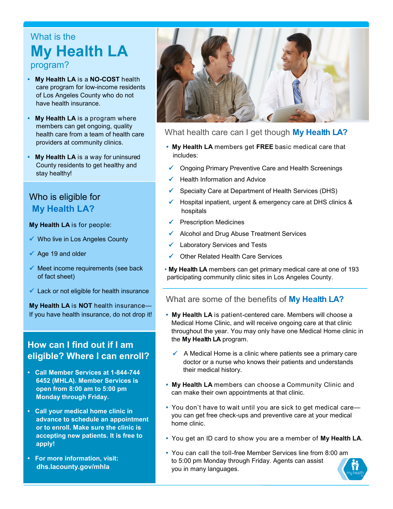# What is the **My Health LA**  program?

- **• My Health LA** is a **NO-COST** health care program for low-income residents of Los Angeles County who do not have health insurance.
- **• My Health LA** is a program where members can get ongoing, quality health care from a team of health care providers at community clinics.
- **• My Health LA** is a way for uninsured County residents to get healthy and stay healthy!

# Who is eligible for **My Health LA?**

#### **My Health LA** is for people:

- $\checkmark$  Who live in Los Angeles County
- $\checkmark$  Age 19 and older
- $\checkmark$  Meet income requirements (see back of fact sheet)
- $\checkmark$  Lack or not eligible for health insurance

**My Health LA** is **NOT** health insurance— If you have health insurance, do not drop it!

# **How can I find out if I am eligible? Where I can enroll?**

- **Call Member Services at 1-844-744 6452 (MHLA). Member Services is open from 8:00 am to 5:00 pm Monday through Friday.**
- **Call your medical home clinic in advance to schedule an appointment or to enroll. Make sure the clinic is accepting new patients. It is free to apply!**
- **For more information, visit: dhs.lacounty.gov/mhla**



## What health care can I get though **My Health LA?**

- **• My Health LA** members get **FREE** basic medical care that includes:
- Ongoing Primary Preventive Care and Health Screenings
- Health Information and Advice
- Specialty Care at Department of Health Services (DHS)
- Hospital inpatient, urgent & emergency care at DHS clinics & hospitals
- $\checkmark$  Prescription Medicines
- $\checkmark$  Alcohol and Drug Abuse Treatment Services
- Laboratory Services and Tests
- Other Related Health Care Services
- **My Health LA** members can get primary medical care at one of 193 participating community clinic sites in Los Angeles County.

## What are some of the benefits of **My Health LA?**

- **• My Health LA** is patient-centered care. Members will choose a Medical Home Clinic, and will receive ongoing care at that clinic throughout the year. You may only have one Medical Home clinic in the **My Health LA** program.
	- $\checkmark$  A Medical Home is a clinic where patients see a primary care doctor or a nurse who knows their patients and understands their medical history.
- **• My Health LA** members can choose a Community Clinic and can make their own appointments at that clinic.
- **•** You don't have to wait until you are sick to get medical care you can get free check-ups and preventive care at your medical home clinic.
- **•** You get an ID card to show you are a member of **My Health LA**.
- **•** You can call the toll-free Member Services line from 8:00 am to 5:00 pm Monday through Friday. Agents can assist you in many languages.